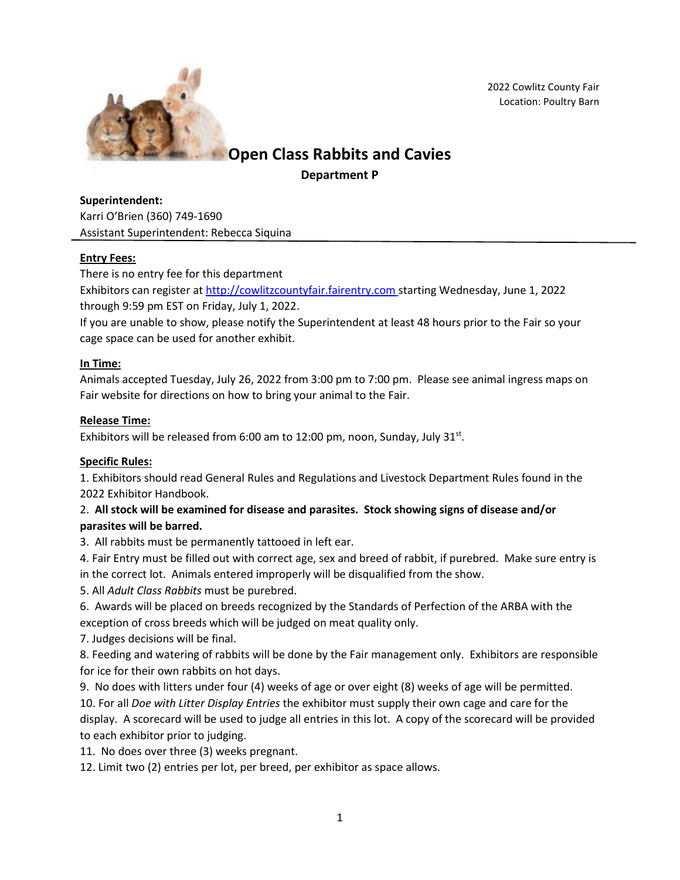

2022 Cowlitz County Fair Location: Poultry Barn

# **Open Class Rabbits and Cavies**

**Department P**

**Superintendent:** Karri O'Brien (360) 749-1690 Assistant Superintendent: Rebecca Siquina

## **Entry Fees:**

There is no entry fee for this department

Exhibitors can register at [http://cowlitzcountyfair.fairentry.com](http://cowlitzcountyfair.fairentry.com/) starting Wednesday, June 1, 2022 through 9:59 pm EST on Friday, July 1, 2022.

If you are unable to show, please notify the Superintendent at least 48 hours prior to the Fair so your cage space can be used for another exhibit.

## **In Time:**

Animals accepted Tuesday, July 26, 2022 from 3:00 pm to 7:00 pm. Please see animal ingress maps on Fair website for directions on how to bring your animal to the Fair.

## **Release Time:**

Exhibitors will be released from 6:00 am to 12:00 pm, noon, Sunday, July 31 $st$ .

#### **Specific Rules:**

1. Exhibitors should read General Rules and Regulations and Livestock Department Rules found in the 2022 Exhibitor Handbook.

## 2. **All stock will be examined for disease and parasites. Stock showing signs of disease and/or parasites will be barred.**

3. All rabbits must be permanently tattooed in left ear.

4. Fair Entry must be filled out with correct age, sex and breed of rabbit, if purebred. Make sure entry is in the correct lot. Animals entered improperly will be disqualified from the show.

5. All *Adult Class Rabbits* must be purebred.

6. Awards will be placed on breeds recognized by the Standards of Perfection of the ARBA with the exception of cross breeds which will be judged on meat quality only.

7. Judges decisions will be final.

8. Feeding and watering of rabbits will be done by the Fair management only. Exhibitors are responsible for ice for their own rabbits on hot days.

9. No does with litters under four (4) weeks of age or over eight (8) weeks of age will be permitted.

10. For all *Doe with Litter Display Entries* the exhibitor must supply their own cage and care for the display. A scorecard will be used to judge all entries in this lot. A copy of the scorecard will be provided to each exhibitor prior to judging.

11. No does over three (3) weeks pregnant.

12. Limit two (2) entries per lot, per breed, per exhibitor as space allows.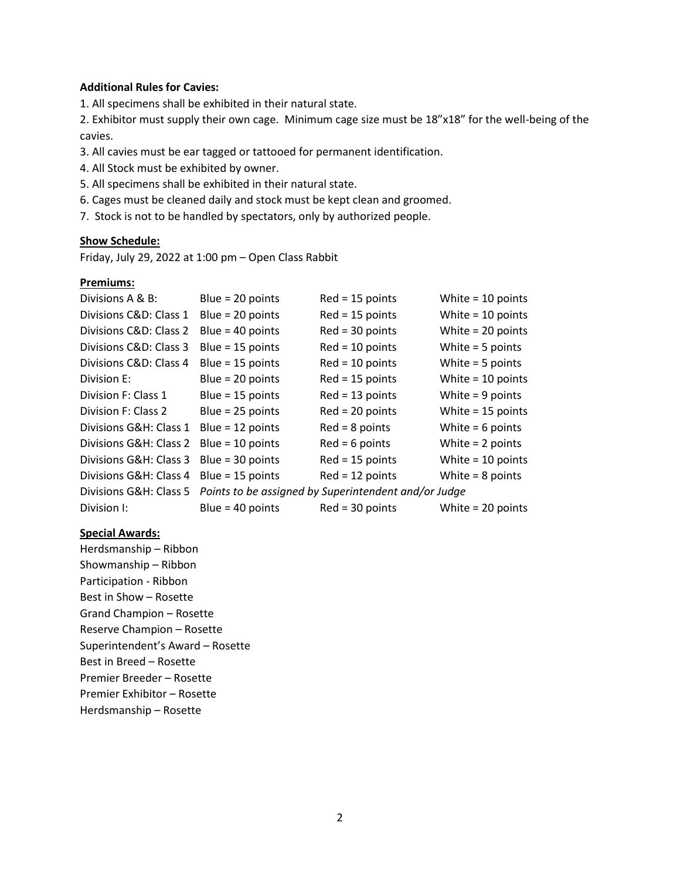#### **Additional Rules for Cavies:**

1. All specimens shall be exhibited in their natural state.

2. Exhibitor must supply their own cage. Minimum cage size must be 18"x18" for the well-being of the cavies.

3. All cavies must be ear tagged or tattooed for permanent identification.

4. All Stock must be exhibited by owner.

- 5. All specimens shall be exhibited in their natural state.
- 6. Cages must be cleaned daily and stock must be kept clean and groomed.

7. Stock is not to be handled by spectators, only by authorized people.

#### **Show Schedule:**

Friday, July 29, 2022 at 1:00 pm – Open Class Rabbit

#### **Premiums:**

| Divisions A & B:       | Blue = $20$ points | $Red = 15$ points                                    | White $= 10$ points |
|------------------------|--------------------|------------------------------------------------------|---------------------|
| Divisions C&D: Class 1 | Blue = $20$ points | $Red = 15$ points                                    | White $= 10$ points |
| Divisions C&D: Class 2 | Blue = $40$ points | $Red = 30$ points                                    | White $= 20$ points |
| Divisions C&D: Class 3 | Blue = $15$ points | $Red = 10$ points                                    | White $=$ 5 points  |
| Divisions C&D: Class 4 | Blue = $15$ points | $Red = 10$ points                                    | White $=$ 5 points  |
| Division E:            | Blue = $20$ points | $Red = 15$ points                                    | White $= 10$ points |
| Division F: Class 1    | Blue = $15$ points | $Red = 13$ points                                    | White $= 9$ points  |
| Division F: Class 2    | Blue = $25$ points | $Red = 20$ points                                    | White $= 15$ points |
| Divisions G&H: Class 1 | Blue = $12$ points | $Red = 8 points$                                     | White = $6$ points  |
| Divisions G&H: Class 2 | Blue = $10$ points | $Red = 6$ points                                     | White $= 2$ points  |
| Divisions G&H: Class 3 | Blue = $30$ points | $Red = 15$ points                                    | White $= 10$ points |
| Divisions G&H: Class 4 | Blue = $15$ points | $Red = 12$ points                                    | White $= 8$ points  |
| Divisions G&H: Class 5 |                    | Points to be assigned by Superintendent and/or Judge |                     |
| Division I:            | Blue = $40$ points | $Red = 30$ points                                    | White $= 20$ points |

#### **Special Awards:**

Herdsmanship – Ribbon Showmanship – Ribbon Participation - Ribbon Best in Show – Rosette Grand Champion – Rosette Reserve Champion – Rosette Superintendent's Award – Rosette Best in Breed – Rosette Premier Breeder – Rosette Premier Exhibitor – Rosette Herdsmanship – Rosette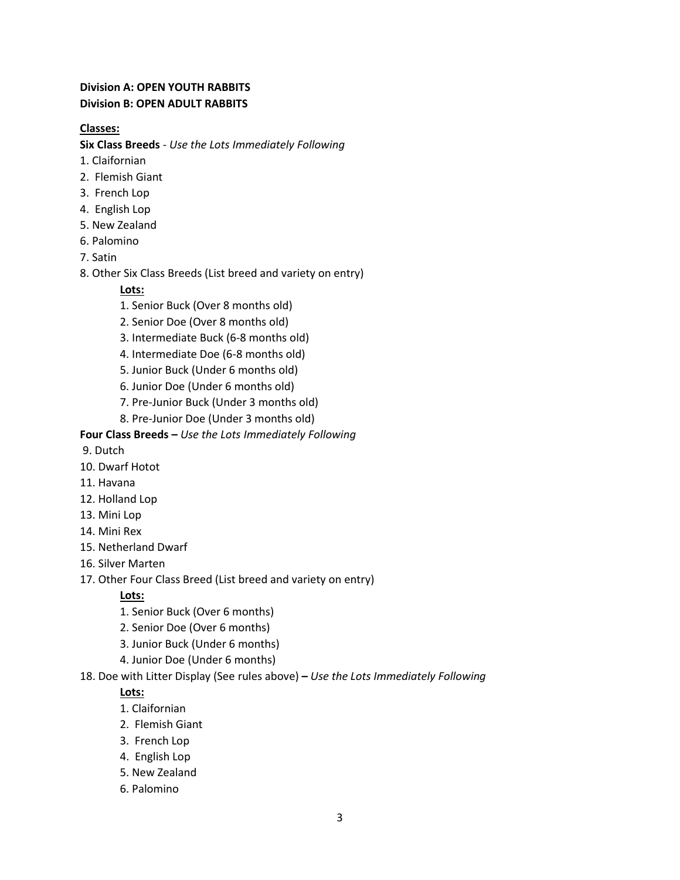# **Division A: OPEN YOUTH RABBITS Division B: OPEN ADULT RABBITS**

# **Classes:**

**Six Class Breeds** - *Use the Lots Immediately Following*

- 1. Claifornian
- 2. Flemish Giant
- 3. French Lop
- 4. English Lop
- 5. New Zealand
- 6. Palomino
- 7. Satin
- 8. Other Six Class Breeds (List breed and variety on entry)

## **Lots:**

- 1. Senior Buck (Over 8 months old)
- 2. Senior Doe (Over 8 months old)
- 3. Intermediate Buck (6-8 months old)
- 4. Intermediate Doe (6-8 months old)
- 5. Junior Buck (Under 6 months old)
- 6. Junior Doe (Under 6 months old)
- 7. Pre-Junior Buck (Under 3 months old)
- 8. Pre-Junior Doe (Under 3 months old)

## **Four Class Breeds –** *Use the Lots Immediately Following*

- 9. Dutch
- 10. Dwarf Hotot
- 11. Havana
- 12. Holland Lop
- 13. Mini Lop
- 14. Mini Rex
- 15. Netherland Dwarf
- 16. Silver Marten
- 17. Other Four Class Breed (List breed and variety on entry)

## **Lots:**

- 1. Senior Buck (Over 6 months)
- 2. Senior Doe (Over 6 months)
- 3. Junior Buck (Under 6 months)
- 4. Junior Doe (Under 6 months)

#### 18. Doe with Litter Display (See rules above) **–** *Use the Lots Immediately Following*

## **Lots:**

- 1. Claifornian
- 2. Flemish Giant
- 3. French Lop
- 4. English Lop
- 5. New Zealand
- 6. Palomino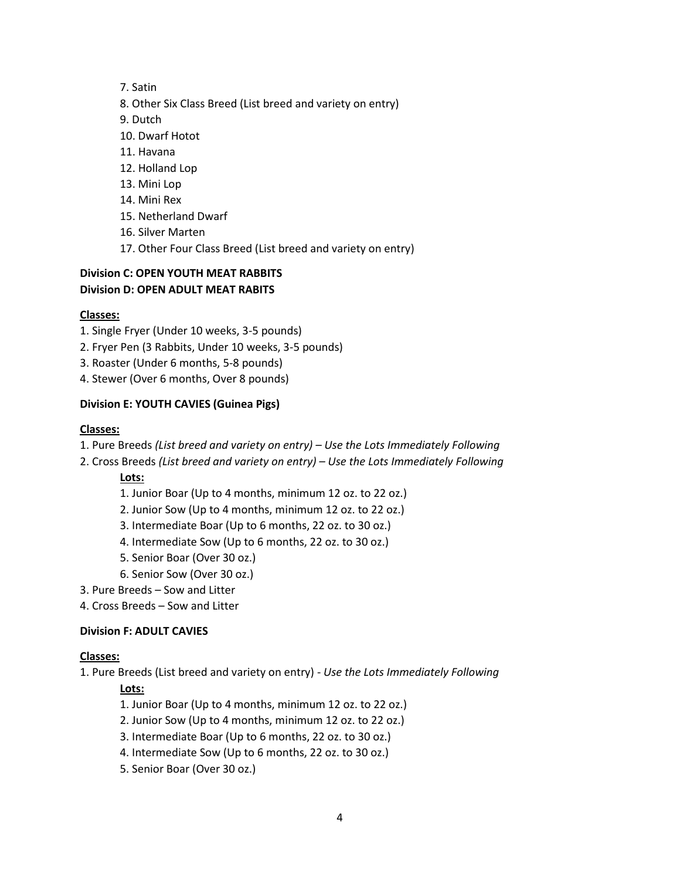- 7. Satin
- 8. Other Six Class Breed (List breed and variety on entry)
- 9. Dutch
- 10. Dwarf Hotot
- 11. Havana
- 12. Holland Lop
- 13. Mini Lop
- 14. Mini Rex
- 15. Netherland Dwarf
- 16. Silver Marten
- 17. Other Four Class Breed (List breed and variety on entry)

#### **Division C: OPEN YOUTH MEAT RABBITS Division D: OPEN ADULT MEAT RABITS**

#### **Classes:**

- 1. Single Fryer (Under 10 weeks, 3-5 pounds)
- 2. Fryer Pen (3 Rabbits, Under 10 weeks, 3-5 pounds)
- 3. Roaster (Under 6 months, 5-8 pounds)
- 4. Stewer (Over 6 months, Over 8 pounds)

## **Division E: YOUTH CAVIES (Guinea Pigs)**

#### **Classes:**

- 1. Pure Breeds *(List breed and variety on entry) – Use the Lots Immediately Following*
- 2. Cross Breeds *(List breed and variety on entry) – Use the Lots Immediately Following*

## **Lots:**

- 1. Junior Boar (Up to 4 months, minimum 12 oz. to 22 oz.)
- 2. Junior Sow (Up to 4 months, minimum 12 oz. to 22 oz.)
- 3. Intermediate Boar (Up to 6 months, 22 oz. to 30 oz.)
- 4. Intermediate Sow (Up to 6 months, 22 oz. to 30 oz.)
- 5. Senior Boar (Over 30 oz.)
- 6. Senior Sow (Over 30 oz.)
- 3. Pure Breeds Sow and Litter
- 4. Cross Breeds Sow and Litter

#### **Division F: ADULT CAVIES**

#### **Classes:**

1. Pure Breeds (List breed and variety on entry) - *Use the Lots Immediately Following*

## **Lots:**

- 1. Junior Boar (Up to 4 months, minimum 12 oz. to 22 oz.)
- 2. Junior Sow (Up to 4 months, minimum 12 oz. to 22 oz.)
- 3. Intermediate Boar (Up to 6 months, 22 oz. to 30 oz.)
- 4. Intermediate Sow (Up to 6 months, 22 oz. to 30 oz.)
- 5. Senior Boar (Over 30 oz.)